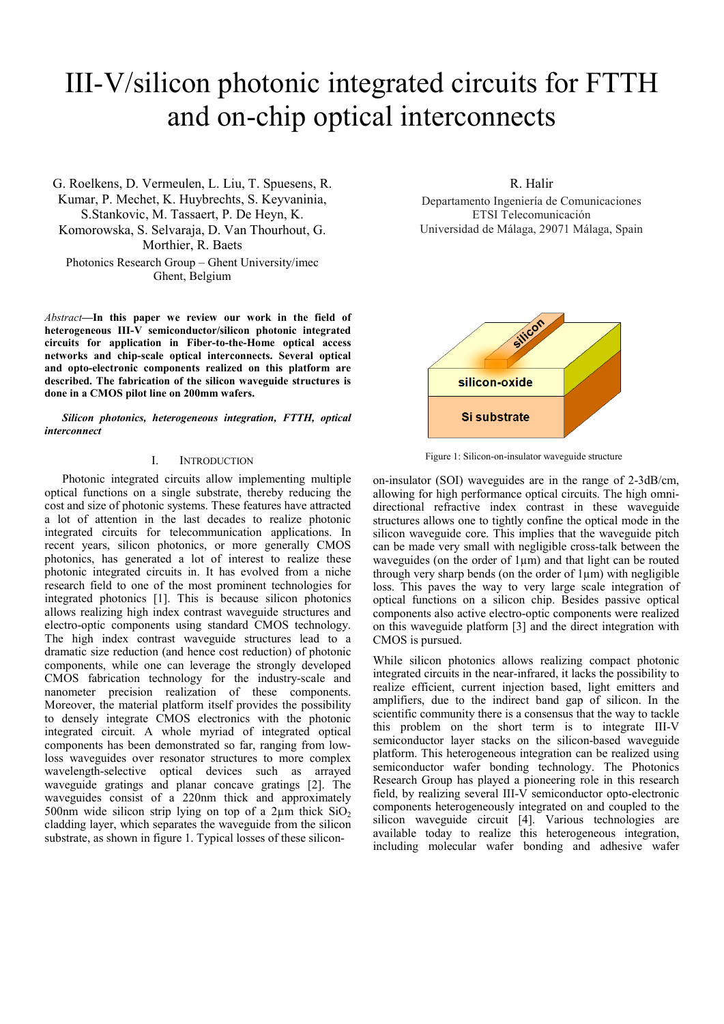# III-V/silicon photonic integrated circuits for FTTH and on-chip optical interconnects

G. Roelkens, D. Vermeulen, L. Liu, T. Spuesens, R. Kumar, P. Mechet, K. Huybrechts, S. Keyvaninia, S.Stankovic, M. Tassaert, P. De Heyn, K. Komorowska, S. Selvaraja, D. Van Thourhout, G. Morthier, R. Baets Photonics Research Group – Ghent University/imec Ghent, Belgium

*Abstract***—In this paper we review our work in the field of heterogeneous III-V semiconductor/silicon photonic integrated circuits for application in Fiber-to-the-Home optical access networks and chip-scale optical interconnects. Several optical and opto-electronic components realized on this platform are described. The fabrication of the silicon waveguide structures is done in a CMOS pilot line on 200mm wafers.** 

*Silicon photonics, heterogeneous integration, FTTH, optical interconnect* 

# I. INTRODUCTION

Photonic integrated circuits allow implementing multiple optical functions on a single substrate, thereby reducing the cost and size of photonic systems. These features have attracted a lot of attention in the last decades to realize photonic integrated circuits for telecommunication applications. In recent years, silicon photonics, or more generally CMOS photonics, has generated a lot of interest to realize these photonic integrated circuits in. It has evolved from a niche research field to one of the most prominent technologies for integrated photonics [1]. This is because silicon photonics allows realizing high index contrast waveguide structures and electro-optic components using standard CMOS technology. The high index contrast waveguide structures lead to a dramatic size reduction (and hence cost reduction) of photonic components, while one can leverage the strongly developed CMOS fabrication technology for the industry-scale and nanometer precision realization of these components. Moreover, the material platform itself provides the possibility to densely integrate CMOS electronics with the photonic integrated circuit. A whole myriad of integrated optical components has been demonstrated so far, ranging from lowloss waveguides over resonator structures to more complex wavelength-selective optical devices such as arrayed waveguide gratings and planar concave gratings [2]. The waveguides consist of a 220nm thick and approximately 500nm wide silicon strip lying on top of a  $2\mu$ m thick  $SiO<sub>2</sub>$ cladding layer, which separates the waveguide from the silicon substrate, as shown in figure 1. Typical losses of these silicon-

#### R. Halir

Departamento Ingeniería de Comunicaciones ETSI Telecomunicación Universidad de Málaga, 29071 Málaga, Spain



Figure 1: Silicon-on-insulator waveguide structure

on-insulator (SOI) waveguides are in the range of 2-3dB/cm, allowing for high performance optical circuits. The high omnidirectional refractive index contrast in these waveguide structures allows one to tightly confine the optical mode in the silicon waveguide core. This implies that the waveguide pitch can be made very small with negligible cross-talk between the waveguides (on the order of 1µm) and that light can be routed through very sharp bends (on the order of  $1\mu$ m) with negligible loss. This paves the way to very large scale integration of optical functions on a silicon chip. Besides passive optical components also active electro-optic components were realized on this waveguide platform [3] and the direct integration with CMOS is pursued.

While silicon photonics allows realizing compact photonic integrated circuits in the near-infrared, it lacks the possibility to realize efficient, current injection based, light emitters and amplifiers, due to the indirect band gap of silicon. In the scientific community there is a consensus that the way to tackle this problem on the short term is to integrate III-V semiconductor layer stacks on the silicon-based waveguide platform. This heterogeneous integration can be realized using semiconductor wafer bonding technology. The Photonics Research Group has played a pioneering role in this research field, by realizing several III-V semiconductor opto-electronic components heterogeneously integrated on and coupled to the silicon waveguide circuit [4]. Various technologies are available today to realize this heterogeneous integration, including molecular wafer bonding and adhesive wafer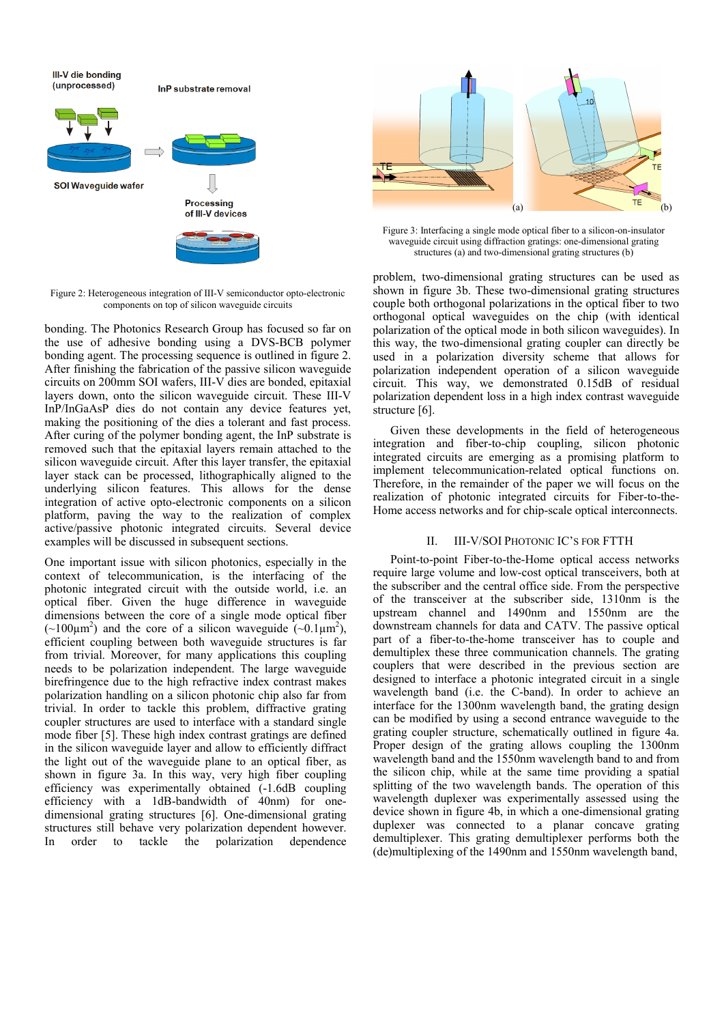**III-V** die bonding (unprocessed) InP substrate removal **SOI Wavequide wafer Processing** of III-V devices

Figure 2: Heterogeneous integration of III-V semiconductor opto-electronic components on top of silicon waveguide circuits

bonding. The Photonics Research Group has focused so far on the use of adhesive bonding using a DVS-BCB polymer bonding agent. The processing sequence is outlined in figure 2. After finishing the fabrication of the passive silicon waveguide circuits on 200mm SOI wafers, III-V dies are bonded, epitaxial layers down, onto the silicon waveguide circuit. These III-V InP/InGaAsP dies do not contain any device features yet, making the positioning of the dies a tolerant and fast process. After curing of the polymer bonding agent, the InP substrate is removed such that the epitaxial layers remain attached to the silicon waveguide circuit. After this layer transfer, the epitaxial layer stack can be processed, lithographically aligned to the underlying silicon features. This allows for the dense integration of active opto-electronic components on a silicon platform, paving the way to the realization of complex active/passive photonic integrated circuits. Several device examples will be discussed in subsequent sections.

One important issue with silicon photonics, especially in the context of telecommunication, is the interfacing of the photonic integrated circuit with the outside world, i.e. an optical fiber. Given the huge difference in waveguide dimensions between the core of a single mode optical fiber  $(\sim 100 \mu m^2)$  and the core of a silicon waveguide  $(\sim 0.1 \mu m^2)$ , efficient coupling between both waveguide structures is far from trivial. Moreover, for many applications this coupling needs to be polarization independent. The large waveguide birefringence due to the high refractive index contrast makes polarization handling on a silicon photonic chip also far from trivial. In order to tackle this problem, diffractive grating coupler structures are used to interface with a standard single mode fiber [5]. These high index contrast gratings are defined in the silicon waveguide layer and allow to efficiently diffract the light out of the waveguide plane to an optical fiber, as shown in figure 3a. In this way, very high fiber coupling efficiency was experimentally obtained (-1.6dB coupling efficiency with a 1dB-bandwidth of 40nm) for onedimensional grating structures [6]. One-dimensional grating structures still behave very polarization dependent however. In order to tackle the polarization dependence



Figure 3: Interfacing a single mode optical fiber to a silicon-on-insulator waveguide circuit using diffraction gratings: one-dimensional grating structures (a) and two-dimensional grating structures (b)

problem, two-dimensional grating structures can be used as shown in figure 3b. These two-dimensional grating structures couple both orthogonal polarizations in the optical fiber to two orthogonal optical waveguides on the chip (with identical polarization of the optical mode in both silicon waveguides). In this way, the two-dimensional grating coupler can directly be used in a polarization diversity scheme that allows for polarization independent operation of a silicon waveguide circuit. This way, we demonstrated 0.15dB of residual polarization dependent loss in a high index contrast waveguide structure [6].

Given these developments in the field of heterogeneous integration and fiber-to-chip coupling, silicon photonic integrated circuits are emerging as a promising platform to implement telecommunication-related optical functions on. Therefore, in the remainder of the paper we will focus on the realization of photonic integrated circuits for Fiber-to-the-Home access networks and for chip-scale optical interconnects.

## II. III-V/SOI PHOTONIC IC'S FOR FTTH

Point-to-point Fiber-to-the-Home optical access networks require large volume and low-cost optical transceivers, both at the subscriber and the central office side. From the perspective of the transceiver at the subscriber side, 1310nm is the upstream channel and 1490nm and 1550nm are the downstream channels for data and CATV. The passive optical part of a fiber-to-the-home transceiver has to couple and demultiplex these three communication channels. The grating couplers that were described in the previous section are designed to interface a photonic integrated circuit in a single wavelength band (i.e. the C-band). In order to achieve an interface for the 1300nm wavelength band, the grating design can be modified by using a second entrance waveguide to the grating coupler structure, schematically outlined in figure 4a. Proper design of the grating allows coupling the 1300nm wavelength band and the 1550nm wavelength band to and from the silicon chip, while at the same time providing a spatial splitting of the two wavelength bands. The operation of this wavelength duplexer was experimentally assessed using the device shown in figure 4b, in which a one-dimensional grating duplexer was connected to a planar concave grating demultiplexer. This grating demultiplexer performs both the (de)multiplexing of the 1490nm and 1550nm wavelength band,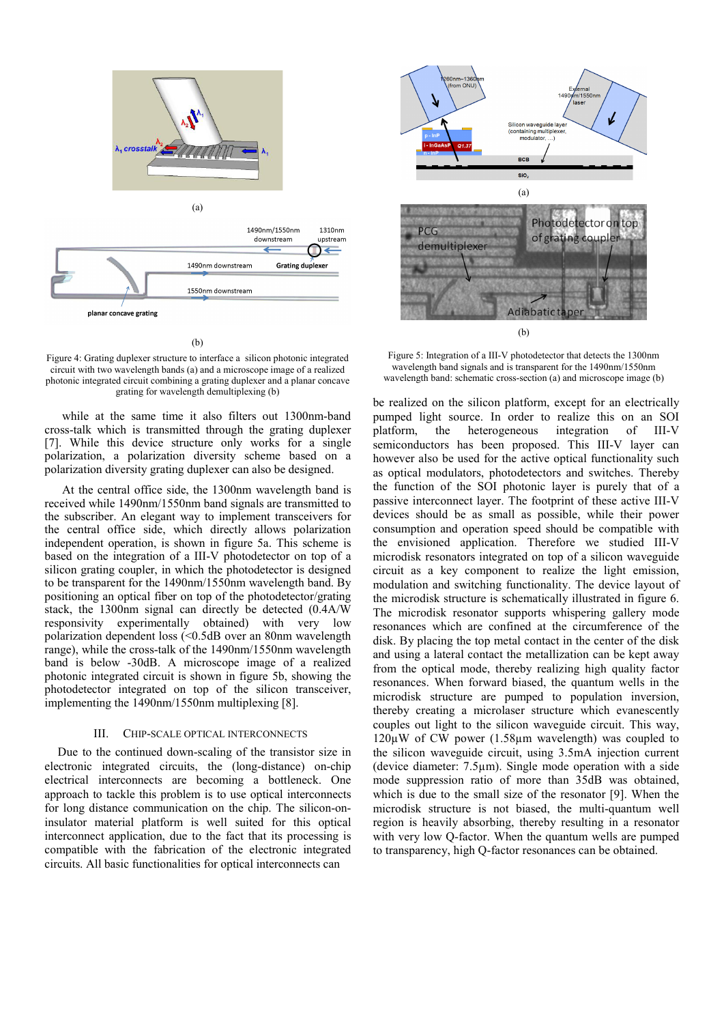

(b)

Figure 4: Grating duplexer structure to interface a silicon photonic integrated circuit with two wavelength bands (a) and a microscope image of a realized photonic integrated circuit combining a grating duplexer and a planar concave grating for wavelength demultiplexing (b)

while at the same time it also filters out 1300nm-band cross-talk which is transmitted through the grating duplexer [7]. While this device structure only works for a single polarization, a polarization diversity scheme based on a polarization diversity grating duplexer can also be designed.

At the central office side, the 1300nm wavelength band is received while 1490nm/1550nm band signals are transmitted to the subscriber. An elegant way to implement transceivers for the central office side, which directly allows polarization independent operation, is shown in figure 5a. This scheme is based on the integration of a III-V photodetector on top of a silicon grating coupler, in which the photodetector is designed to be transparent for the 1490nm/1550nm wavelength band. By positioning an optical fiber on top of the photodetector/grating stack, the 1300nm signal can directly be detected (0.4A/W responsivity experimentally obtained) with very low polarization dependent loss (<0.5dB over an 80nm wavelength range), while the cross-talk of the 1490nm/1550nm wavelength band is below -30dB. A microscope image of a realized photonic integrated circuit is shown in figure 5b, showing the photodetector integrated on top of the silicon transceiver, implementing the 1490nm/1550nm multiplexing [8].

### III. CHIP-SCALE OPTICAL INTERCONNECTS

Due to the continued down-scaling of the transistor size in electronic integrated circuits, the (long-distance) on-chip electrical interconnects are becoming a bottleneck. One approach to tackle this problem is to use optical interconnects for long distance communication on the chip. The silicon-oninsulator material platform is well suited for this optical interconnect application, due to the fact that its processing is compatible with the fabrication of the electronic integrated circuits. All basic functionalities for optical interconnects can



Figure 5: Integration of a III-V photodetector that detects the 1300nm wavelength band signals and is transparent for the 1490nm/1550nm wavelength band: schematic cross-section (a) and microscope image (b)

be realized on the silicon platform, except for an electrically pumped light source. In order to realize this on an SOI platform, the heterogeneous integration of III-V semiconductors has been proposed. This III-V layer can however also be used for the active optical functionality such as optical modulators, photodetectors and switches. Thereby the function of the SOI photonic layer is purely that of a passive interconnect layer. The footprint of these active III-V devices should be as small as possible, while their power consumption and operation speed should be compatible with the envisioned application. Therefore we studied III-V microdisk resonators integrated on top of a silicon waveguide circuit as a key component to realize the light emission, modulation and switching functionality. The device layout of the microdisk structure is schematically illustrated in figure 6. The microdisk resonator supports whispering gallery mode resonances which are confined at the circumference of the disk. By placing the top metal contact in the center of the disk and using a lateral contact the metallization can be kept away from the optical mode, thereby realizing high quality factor resonances. When forward biased, the quantum wells in the microdisk structure are pumped to population inversion, thereby creating a microlaser structure which evanescently couples out light to the silicon waveguide circuit. This way,  $120\mu$ W of CW power (1.58 $\mu$ m wavelength) was coupled to the silicon waveguide circuit, using 3.5mA injection current (device diameter: 7.5µm). Single mode operation with a side mode suppression ratio of more than 35dB was obtained, which is due to the small size of the resonator [9]. When the microdisk structure is not biased, the multi-quantum well region is heavily absorbing, thereby resulting in a resonator with very low Q-factor. When the quantum wells are pumped to transparency, high Q-factor resonances can be obtained.